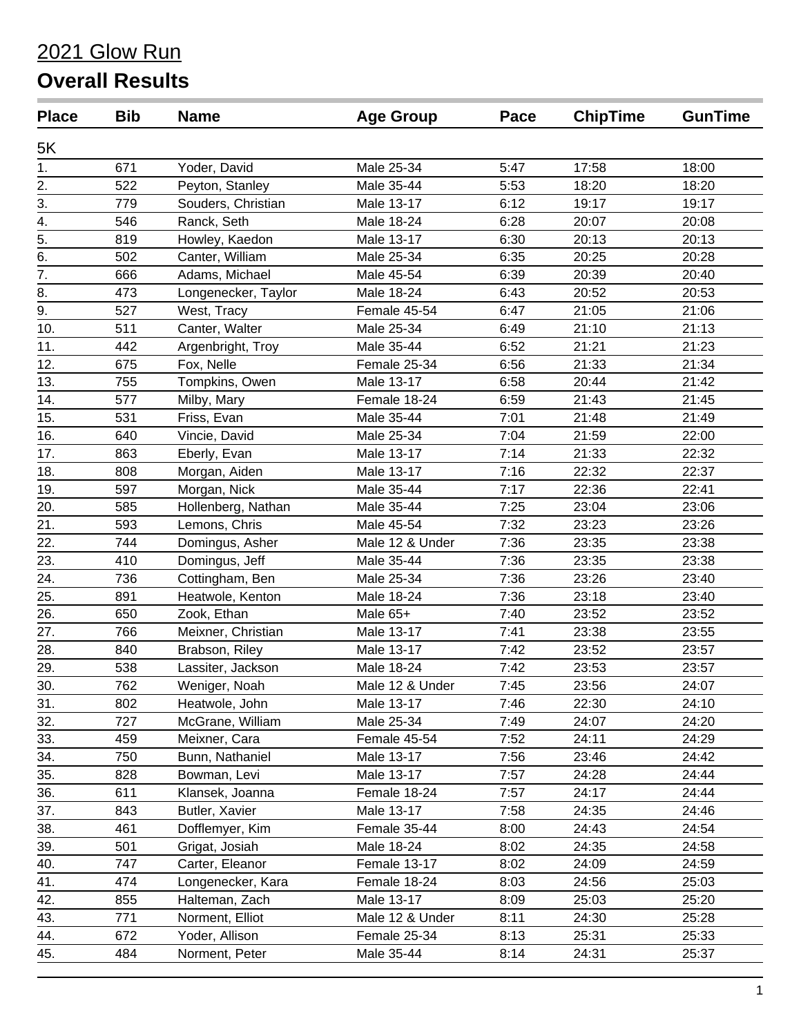| <b>Place</b>     | <b>Bib</b> | <b>Name</b>         | <b>Age Group</b> | Pace | <b>ChipTime</b> | <b>GunTime</b> |
|------------------|------------|---------------------|------------------|------|-----------------|----------------|
| 5K               |            |                     |                  |      |                 |                |
| 1.               | 671        | Yoder, David        | Male 25-34       | 5:47 | 17:58           | 18:00          |
| 2.               | 522        | Peyton, Stanley     | Male 35-44       | 5:53 | 18:20           | 18:20          |
| 3.               | 779        | Souders, Christian  | Male 13-17       | 6:12 | 19:17           | 19:17          |
| 4.               | 546        | Ranck, Seth         | Male 18-24       | 6:28 | 20:07           | 20:08          |
| $\overline{5}$ . | 819        | Howley, Kaedon      | Male 13-17       | 6:30 | 20:13           | 20:13          |
| 6.               | 502        | Canter, William     | Male 25-34       | 6:35 | 20:25           | 20:28          |
| $\overline{7}$ . | 666        | Adams, Michael      | Male 45-54       | 6:39 | 20:39           | 20:40          |
| 8.               | 473        | Longenecker, Taylor | Male 18-24       | 6:43 | 20:52           | 20:53          |
| 9.               | 527        | West, Tracy         | Female 45-54     | 6:47 | 21:05           | 21:06          |
| 10.              | 511        | Canter, Walter      | Male 25-34       | 6:49 | 21:10           | 21:13          |
| 11.              | 442        | Argenbright, Troy   | Male 35-44       | 6:52 | 21:21           | 21:23          |
| 12.              | 675        | Fox, Nelle          | Female 25-34     | 6:56 | 21:33           | 21:34          |
| 13.              | 755        | Tompkins, Owen      | Male 13-17       | 6:58 | 20:44           | 21:42          |
| 14.              | 577        | Milby, Mary         | Female 18-24     | 6:59 | 21:43           | 21:45          |
| 15.              | 531        | Friss, Evan         | Male 35-44       | 7:01 | 21:48           | 21:49          |
| 16.              | 640        | Vincie, David       | Male 25-34       | 7:04 | 21:59           | 22:00          |
| 17.              | 863        | Eberly, Evan        | Male 13-17       | 7:14 | 21:33           | 22:32          |
| 18.              | 808        | Morgan, Aiden       | Male 13-17       | 7:16 | 22:32           | 22:37          |
| 19.              | 597        | Morgan, Nick        | Male 35-44       | 7:17 | 22:36           | 22:41          |
| 20.              | 585        | Hollenberg, Nathan  | Male 35-44       | 7:25 | 23:04           | 23:06          |
| 21.              | 593        | Lemons, Chris       | Male 45-54       | 7:32 | 23:23           | 23:26          |
| 22.              | 744        | Domingus, Asher     | Male 12 & Under  | 7:36 | 23:35           | 23:38          |
| 23.              | 410        | Domingus, Jeff      | Male 35-44       | 7:36 | 23:35           | 23:38          |
| 24.              | 736        | Cottingham, Ben     | Male 25-34       | 7:36 | 23:26           | 23:40          |
| 25.              | 891        | Heatwole, Kenton    | Male 18-24       | 7:36 | 23:18           | 23:40          |
| 26.              | 650        | Zook, Ethan         | Male 65+         | 7:40 | 23:52           | 23:52          |
| 27.              | 766        | Meixner, Christian  | Male 13-17       | 7:41 | 23:38           | 23:55          |
| 28.              | 840        | Brabson, Riley      | Male 13-17       | 7:42 | 23:52           | 23:57          |
| 29.              | 538        | Lassiter, Jackson   | Male 18-24       | 7:42 | 23:53           | 23:57          |
| 30.              | 762        | Weniger, Noah       | Male 12 & Under  | 7:45 | 23:56           | 24:07          |
| 31.              | 802        | Heatwole, John      | Male 13-17       | 7:46 | 22:30           | 24:10          |
| 32.              | 727        | McGrane, William    | Male 25-34       | 7:49 | 24:07           | 24:20          |
| 33.              | 459        | Meixner, Cara       | Female 45-54     | 7:52 | 24:11           | 24:29          |
| 34.              | 750        | Bunn, Nathaniel     | Male 13-17       | 7:56 | 23:46           | 24:42          |
| 35.              | 828        | Bowman, Levi        | Male 13-17       | 7:57 | 24:28           | 24:44          |
| 36.              | 611        | Klansek, Joanna     | Female 18-24     | 7:57 | 24:17           | 24:44          |
| 37.              | 843        | Butler, Xavier      | Male 13-17       | 7:58 | 24:35           | 24:46          |
| 38.              | 461        | Dofflemyer, Kim     | Female 35-44     | 8:00 | 24:43           | 24:54          |
| 39.              | 501        | Grigat, Josiah      | Male 18-24       | 8:02 | 24:35           | 24:58          |
| 40.              | 747        | Carter, Eleanor     | Female 13-17     | 8:02 | 24:09           | 24:59          |
| 41.              | 474        | Longenecker, Kara   | Female 18-24     | 8:03 | 24:56           | 25:03          |
| 42.              | 855        | Halteman, Zach      | Male 13-17       | 8:09 | 25:03           | 25:20          |
| 43.              | 771        | Norment, Elliot     | Male 12 & Under  | 8:11 | 24:30           | 25:28          |
| 44.              | 672        | Yoder, Allison      | Female 25-34     | 8:13 | 25:31           | 25:33          |
| 45.              | 484        | Norment, Peter      | Male 35-44       | 8:14 | 24:31           | 25:37          |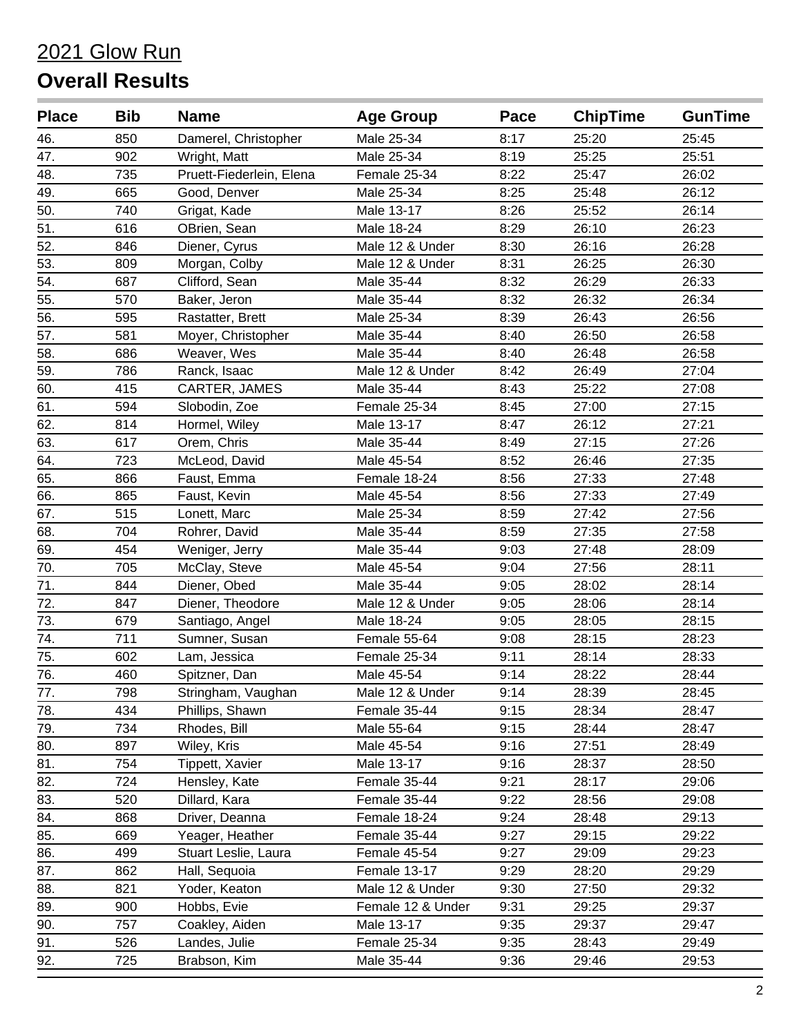| <b>Place</b> | <b>Bib</b> | <b>Name</b>              | <b>Age Group</b>  | Pace | <b>ChipTime</b> | <b>GunTime</b> |
|--------------|------------|--------------------------|-------------------|------|-----------------|----------------|
| 46.          | 850        | Damerel, Christopher     | Male 25-34        | 8:17 | 25:20           | 25:45          |
| 47.          | 902        | Wright, Matt             | Male 25-34        | 8:19 | 25:25           | 25:51          |
| 48.          | 735        | Pruett-Fiederlein, Elena | Female 25-34      | 8:22 | 25:47           | 26:02          |
| 49.          | 665        | Good, Denver             | Male 25-34        | 8:25 | 25:48           | 26:12          |
| 50.          | 740        | Grigat, Kade             | Male 13-17        | 8:26 | 25:52           | 26:14          |
| 51.          | 616        | OBrien, Sean             | Male 18-24        | 8:29 | 26:10           | 26:23          |
| 52.          | 846        | Diener, Cyrus            | Male 12 & Under   | 8:30 | 26:16           | 26:28          |
| 53.          | 809        | Morgan, Colby            | Male 12 & Under   | 8:31 | 26:25           | 26:30          |
| 54.          | 687        | Clifford, Sean           | Male 35-44        | 8:32 | 26:29           | 26:33          |
| 55.          | 570        | Baker, Jeron             | Male 35-44        | 8:32 | 26:32           | 26:34          |
| 56.          | 595        | Rastatter, Brett         | Male 25-34        | 8:39 | 26:43           | 26:56          |
| 57.          | 581        | Moyer, Christopher       | Male 35-44        | 8:40 | 26:50           | 26:58          |
| 58.          | 686        | Weaver, Wes              | Male 35-44        | 8:40 | 26:48           | 26:58          |
| 59.          | 786        | Ranck, Isaac             | Male 12 & Under   | 8:42 | 26:49           | 27:04          |
| 60.          | 415        | CARTER, JAMES            | Male 35-44        | 8:43 | 25:22           | 27:08          |
| 61.          | 594        | Slobodin, Zoe            | Female 25-34      | 8:45 | 27:00           | 27:15          |
| 62.          | 814        | Hormel, Wiley            | Male 13-17        | 8:47 | 26:12           | 27:21          |
| 63.          | 617        | Orem, Chris              | Male 35-44        | 8:49 | 27:15           | 27:26          |
| 64.          | 723        | McLeod, David            | Male 45-54        | 8:52 | 26:46           | 27:35          |
| 65.          | 866        | Faust, Emma              | Female 18-24      | 8:56 | 27:33           | 27:48          |
| 66.          | 865        | Faust, Kevin             | Male 45-54        | 8:56 | 27:33           | 27:49          |
| 67.          | 515        | Lonett, Marc             | Male 25-34        | 8:59 | 27:42           | 27:56          |
| 68.          | 704        | Rohrer, David            | Male 35-44        | 8:59 | 27:35           | 27:58          |
| 69.          | 454        | Weniger, Jerry           | Male 35-44        | 9:03 | 27:48           | 28:09          |
| 70.          | 705        | McClay, Steve            | Male 45-54        | 9:04 | 27:56           | 28:11          |
| 71.          | 844        | Diener, Obed             | Male 35-44        | 9:05 | 28:02           | 28:14          |
| 72.          | 847        | Diener, Theodore         | Male 12 & Under   | 9:05 | 28:06           | 28:14          |
| 73.          | 679        | Santiago, Angel          | Male 18-24        | 9:05 | 28:05           | 28:15          |
| 74.          | 711        | Sumner, Susan            | Female 55-64      | 9:08 | 28:15           | 28:23          |
| 75.          | 602        | Lam, Jessica             | Female 25-34      | 9:11 | 28:14           | 28:33          |
| 76.          | 460        | Spitzner, Dan            | Male 45-54        | 9:14 | 28:22           | 28:44          |
| 77.          | 798        | Stringham, Vaughan       | Male 12 & Under   | 9:14 | 28:39           | 28:45          |
| 78.          | 434        | Phillips, Shawn          | Female 35-44      | 9:15 | 28:34           | 28:47          |
| 79.          | 734        | Rhodes, Bill             | Male 55-64        | 9:15 | 28:44           | 28:47          |
| 80.          | 897        | Wiley, Kris              | Male 45-54        | 9:16 | 27:51           | 28:49          |
| 81.          | 754        | Tippett, Xavier          | Male 13-17        | 9:16 | 28:37           | 28:50          |
| 82.          | 724        | Hensley, Kate            | Female 35-44      | 9:21 | 28:17           | 29:06          |
| 83.          | 520        | Dillard, Kara            | Female 35-44      | 9:22 | 28:56           | 29:08          |
| 84.          | 868        | Driver, Deanna           | Female 18-24      | 9:24 | 28:48           | 29:13          |
| 85.          | 669        | Yeager, Heather          | Female 35-44      | 9:27 | 29:15           | 29:22          |
| 86.          | 499        | Stuart Leslie, Laura     | Female 45-54      | 9:27 | 29:09           | 29:23          |
| 87.          | 862        | Hall, Sequoia            | Female 13-17      | 9:29 | 28:20           | 29:29          |
| 88.          | 821        | Yoder, Keaton            | Male 12 & Under   | 9:30 | 27:50           | 29:32          |
| 89.          | 900        | Hobbs, Evie              | Female 12 & Under | 9:31 | 29:25           | 29:37          |
| 90.          | 757        | Coakley, Aiden           | Male 13-17        | 9:35 | 29:37           | 29:47          |
| 91.          | 526        | Landes, Julie            | Female 25-34      | 9:35 | 28:43           | 29:49          |
| 92.          | 725        | Brabson, Kim             | Male 35-44        | 9:36 | 29:46           | 29:53          |
|              |            |                          |                   |      |                 |                |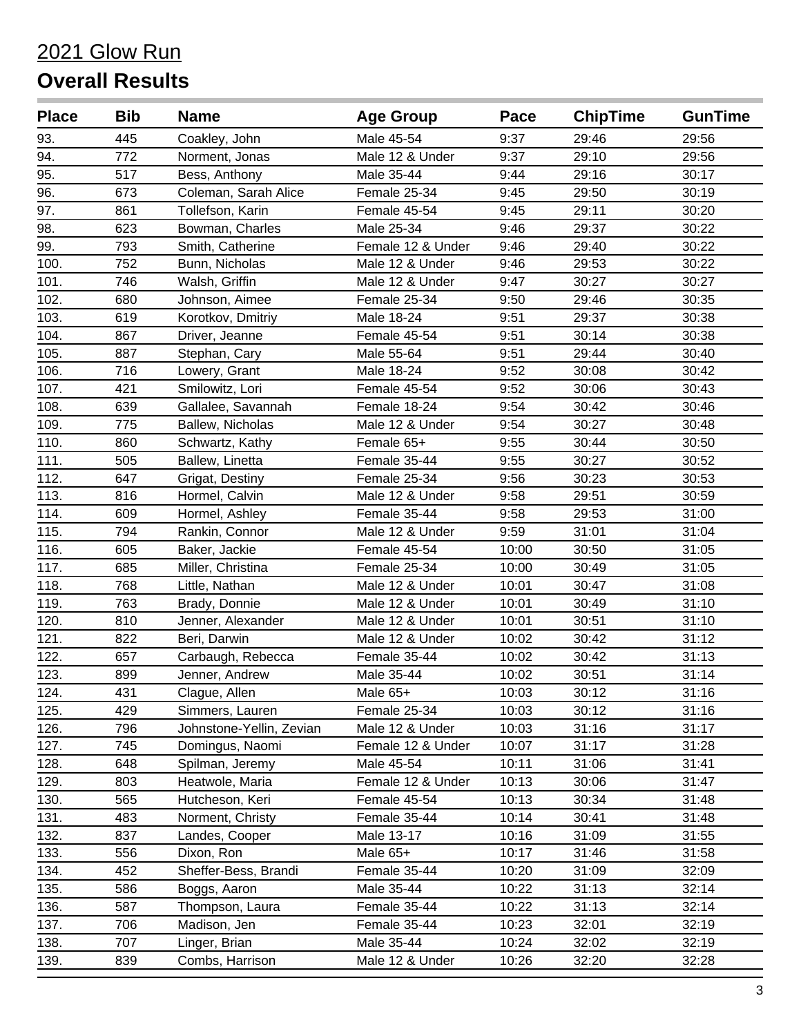| <b>Place</b> | <b>Bib</b> | <b>Name</b>              | <b>Age Group</b>  | Pace  | <b>ChipTime</b> | <b>GunTime</b> |
|--------------|------------|--------------------------|-------------------|-------|-----------------|----------------|
| 93.          | 445        | Coakley, John            | Male 45-54        | 9:37  | 29:46           | 29:56          |
| 94.          | 772        | Norment, Jonas           | Male 12 & Under   | 9:37  | 29:10           | 29:56          |
| 95.          | 517        | Bess, Anthony            | Male 35-44        | 9:44  | 29:16           | 30:17          |
| 96.          | 673        | Coleman, Sarah Alice     | Female 25-34      | 9:45  | 29:50           | 30:19          |
| 97.          | 861        | Tollefson, Karin         | Female 45-54      | 9:45  | 29:11           | 30:20          |
| 98.          | 623        | Bowman, Charles          | Male 25-34        | 9:46  | 29:37           | 30:22          |
| 99.          | 793        | Smith, Catherine         | Female 12 & Under | 9:46  | 29:40           | 30:22          |
| 100.         | 752        | Bunn, Nicholas           | Male 12 & Under   | 9:46  | 29:53           | 30:22          |
| 101.         | 746        | Walsh, Griffin           | Male 12 & Under   | 9:47  | 30:27           | 30:27          |
| 102.         | 680        | Johnson, Aimee           | Female 25-34      | 9:50  | 29:46           | 30:35          |
| 103.         | 619        | Korotkov, Dmitriy        | Male 18-24        | 9:51  | 29:37           | 30:38          |
| 104.         | 867        | Driver, Jeanne           | Female 45-54      | 9:51  | 30:14           | 30:38          |
| 105.         | 887        | Stephan, Cary            | Male 55-64        | 9:51  | 29:44           | 30:40          |
| 106.         | 716        | Lowery, Grant            | Male 18-24        | 9:52  | 30:08           | 30:42          |
| 107.         | 421        | Smilowitz, Lori          | Female 45-54      | 9:52  | 30:06           | 30:43          |
| 108.         | 639        | Gallalee, Savannah       | Female 18-24      | 9:54  | 30:42           | 30:46          |
| 109.         | 775        | Ballew, Nicholas         | Male 12 & Under   | 9:54  | 30:27           | 30:48          |
| 110.         | 860        | Schwartz, Kathy          | Female 65+        | 9:55  | 30:44           | 30:50          |
| 111.         | 505        | Ballew, Linetta          | Female 35-44      | 9:55  | 30:27           | 30:52          |
| 112.         | 647        | Grigat, Destiny          | Female 25-34      | 9:56  | 30:23           | 30:53          |
| 113.         | 816        | Hormel, Calvin           | Male 12 & Under   | 9:58  | 29:51           | 30:59          |
| 114.         | 609        | Hormel, Ashley           | Female 35-44      | 9:58  | 29:53           | 31:00          |
| 115.         | 794        | Rankin, Connor           | Male 12 & Under   | 9:59  | 31:01           | 31:04          |
| 116.         | 605        | Baker, Jackie            | Female 45-54      | 10:00 | 30:50           | 31:05          |
| 117.         | 685        | Miller, Christina        | Female 25-34      | 10:00 | 30:49           | 31:05          |
| 118.         | 768        | Little, Nathan           | Male 12 & Under   | 10:01 | 30:47           | 31:08          |
| 119.         | 763        | Brady, Donnie            | Male 12 & Under   | 10:01 | 30:49           | 31:10          |
| 120.         | 810        | Jenner, Alexander        | Male 12 & Under   | 10:01 | 30:51           | 31:10          |
| 121.         | 822        | Beri, Darwin             | Male 12 & Under   | 10:02 | 30:42           | 31:12          |
| 122.         | 657        | Carbaugh, Rebecca        | Female 35-44      | 10:02 | 30:42           | 31:13          |
| 123.         | 899        | Jenner, Andrew           | Male 35-44        | 10:02 | 30:51           | 31:14          |
| 124.         | 431        | Clague, Allen            | Male 65+          | 10:03 | 30:12           | 31:16          |
| 125.         | 429        | Simmers, Lauren          | Female 25-34      | 10:03 | 30:12           | 31:16          |
| 126.         | 796        | Johnstone-Yellin, Zevian | Male 12 & Under   | 10:03 | 31:16           | 31:17          |
| 127.         | 745        | Domingus, Naomi          | Female 12 & Under | 10:07 | 31:17           | 31:28          |
| 128.         | 648        | Spilman, Jeremy          | Male 45-54        | 10:11 | 31:06           | 31:41          |
| 129.         | 803        | Heatwole, Maria          | Female 12 & Under | 10:13 | 30:06           | 31:47          |
| 130.         | 565        | Hutcheson, Keri          | Female 45-54      | 10:13 | 30:34           | 31:48          |
| 131.         | 483        | Norment, Christy         | Female 35-44      | 10:14 | 30:41           | 31:48          |
| 132.         | 837        | Landes, Cooper           | Male 13-17        | 10:16 | 31:09           | 31:55          |
| 133.         | 556        | Dixon, Ron               | Male 65+          | 10:17 | 31:46           | 31:58          |
| 134.         | 452        | Sheffer-Bess, Brandi     | Female 35-44      | 10:20 | 31:09           | 32:09          |
| 135.         | 586        | Boggs, Aaron             | Male 35-44        | 10:22 | 31:13           | 32:14          |
| 136.         | 587        | Thompson, Laura          | Female 35-44      | 10:22 | 31:13           | 32:14          |
| 137.         | 706        | Madison, Jen             | Female 35-44      | 10:23 | 32:01           | 32:19          |
| 138.         | 707        | Linger, Brian            | Male 35-44        | 10:24 | 32:02           | 32:19          |
| 139.         | 839        | Combs, Harrison          | Male 12 & Under   | 10:26 | 32:20           | 32:28          |
|              |            |                          |                   |       |                 |                |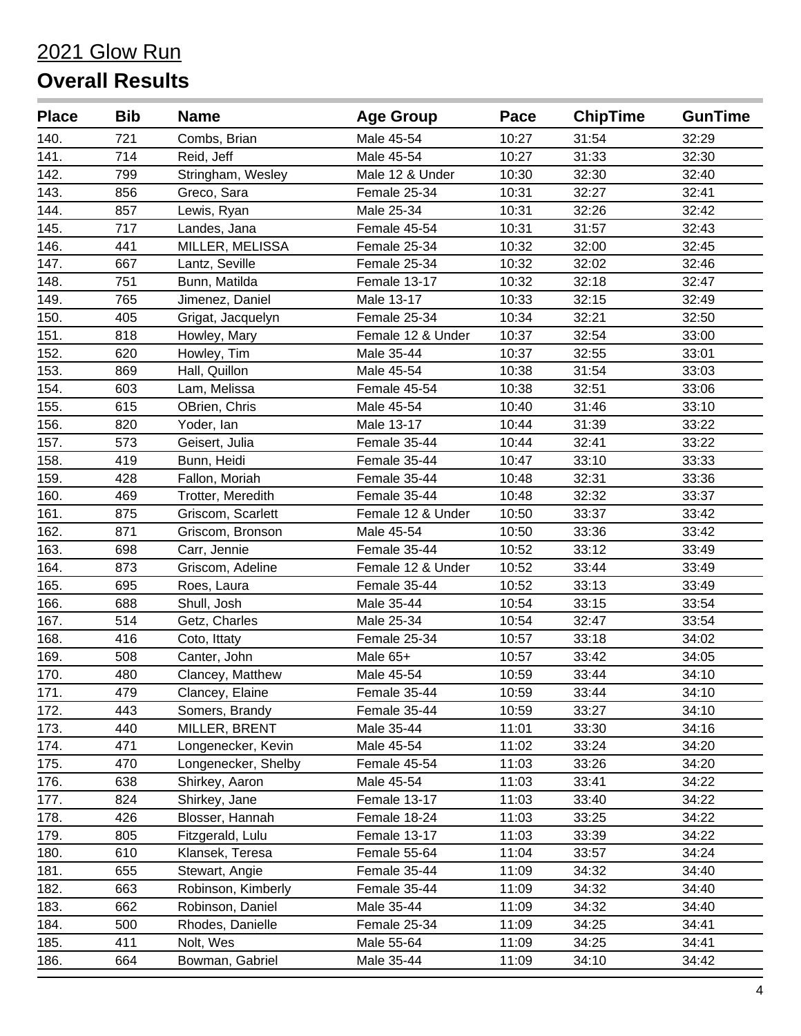| <b>Place</b> | <b>Bib</b> | <b>Name</b>         | <b>Age Group</b>  | Pace  | <b>ChipTime</b> | <b>GunTime</b> |
|--------------|------------|---------------------|-------------------|-------|-----------------|----------------|
| 140.         | 721        | Combs, Brian        | Male 45-54        | 10:27 | 31:54           | 32:29          |
| 141.         | 714        | Reid, Jeff          | Male 45-54        | 10:27 | 31:33           | 32:30          |
| 142.         | 799        | Stringham, Wesley   | Male 12 & Under   | 10:30 | 32:30           | 32:40          |
| 143.         | 856        | Greco, Sara         | Female 25-34      | 10:31 | 32:27           | 32:41          |
| 144.         | 857        | Lewis, Ryan         | Male 25-34        | 10:31 | 32:26           | 32:42          |
| 145.         | 717        | Landes, Jana        | Female 45-54      | 10:31 | 31:57           | 32:43          |
| 146.         | 441        | MILLER, MELISSA     | Female 25-34      | 10:32 | 32:00           | 32:45          |
| 147.         | 667        | Lantz, Seville      | Female 25-34      | 10:32 | 32:02           | 32:46          |
| 148.         | 751        | Bunn, Matilda       | Female 13-17      | 10:32 | 32:18           | 32:47          |
| 149.         | 765        | Jimenez, Daniel     | Male 13-17        | 10:33 | 32:15           | 32:49          |
| 150.         | 405        | Grigat, Jacquelyn   | Female 25-34      | 10:34 | 32:21           | 32:50          |
| 151.         | 818        | Howley, Mary        | Female 12 & Under | 10:37 | 32:54           | 33:00          |
| 152.         | 620        | Howley, Tim         | Male 35-44        | 10:37 | 32:55           | 33:01          |
| 153.         | 869        | Hall, Quillon       | Male 45-54        | 10:38 | 31:54           | 33:03          |
| 154.         | 603        | Lam, Melissa        | Female 45-54      | 10:38 | 32:51           | 33:06          |
| 155.         | 615        | OBrien, Chris       | Male 45-54        | 10:40 | 31:46           | 33:10          |
| 156.         | 820        | Yoder, lan          | Male 13-17        | 10:44 | 31:39           | 33:22          |
| 157.         | 573        | Geisert, Julia      | Female 35-44      | 10:44 | 32:41           | 33:22          |
| 158.         | 419        | Bunn, Heidi         | Female 35-44      | 10:47 | 33:10           | 33:33          |
| 159.         | 428        | Fallon, Moriah      | Female 35-44      | 10:48 | 32:31           | 33:36          |
| 160.         | 469        | Trotter, Meredith   | Female 35-44      | 10:48 | 32:32           | 33:37          |
| 161.         | 875        | Griscom, Scarlett   | Female 12 & Under | 10:50 | 33:37           | 33:42          |
| 162.         | 871        | Griscom, Bronson    | Male 45-54        | 10:50 | 33:36           | 33:42          |
| 163.         | 698        | Carr, Jennie        | Female 35-44      | 10:52 | 33:12           | 33:49          |
| 164.         | 873        | Griscom, Adeline    | Female 12 & Under | 10:52 | 33:44           | 33:49          |
| 165.         | 695        | Roes, Laura         | Female 35-44      | 10:52 | 33:13           | 33:49          |
| 166.         | 688        | Shull, Josh         | Male 35-44        | 10:54 | 33:15           | 33:54          |
| 167.         | 514        | Getz, Charles       | Male 25-34        | 10:54 | 32:47           | 33:54          |
| 168.         | 416        | Coto, Ittaty        | Female 25-34      | 10:57 | 33:18           | 34:02          |
| 169.         | 508        | Canter, John        | Male 65+          | 10:57 | 33:42           | 34:05          |
| 170.         | 480        | Clancey, Matthew    | Male 45-54        | 10:59 | 33:44           | 34:10          |
| 171.         | 479        | Clancey, Elaine     | Female 35-44      | 10:59 | 33:44           | 34:10          |
| 172.         | 443        | Somers, Brandy      | Female 35-44      | 10:59 | 33:27           | 34:10          |
| 173.         | 440        | MILLER, BRENT       | Male 35-44        | 11:01 | 33:30           | 34:16          |
| 174.         | 471        | Longenecker, Kevin  | Male 45-54        | 11:02 | 33:24           | 34:20          |
| 175.         | 470        | Longenecker, Shelby | Female 45-54      | 11:03 | 33:26           | 34:20          |
| 176.         | 638        | Shirkey, Aaron      | Male 45-54        | 11:03 | 33:41           | 34:22          |
| 177.         | 824        | Shirkey, Jane       | Female 13-17      | 11:03 | 33:40           | 34:22          |
| 178.         | 426        | Blosser, Hannah     | Female 18-24      | 11:03 | 33:25           | 34:22          |
| 179.         | 805        | Fitzgerald, Lulu    | Female 13-17      | 11:03 | 33:39           | 34:22          |
| 180.         | 610        | Klansek, Teresa     | Female 55-64      | 11:04 | 33:57           | 34:24          |
| 181.         | 655        | Stewart, Angie      | Female 35-44      | 11:09 | 34:32           | 34:40          |
| 182.         | 663        | Robinson, Kimberly  | Female 35-44      | 11:09 | 34:32           | 34:40          |
| 183.         | 662        | Robinson, Daniel    | Male 35-44        | 11:09 | 34:32           | 34:40          |
| 184.         | 500        | Rhodes, Danielle    | Female 25-34      | 11:09 | 34:25           | 34:41          |
| 185.         | 411        | Nolt, Wes           | Male 55-64        | 11:09 | 34:25           | 34:41          |
| 186.         | 664        | Bowman, Gabriel     | Male 35-44        | 11:09 | 34:10           | 34:42          |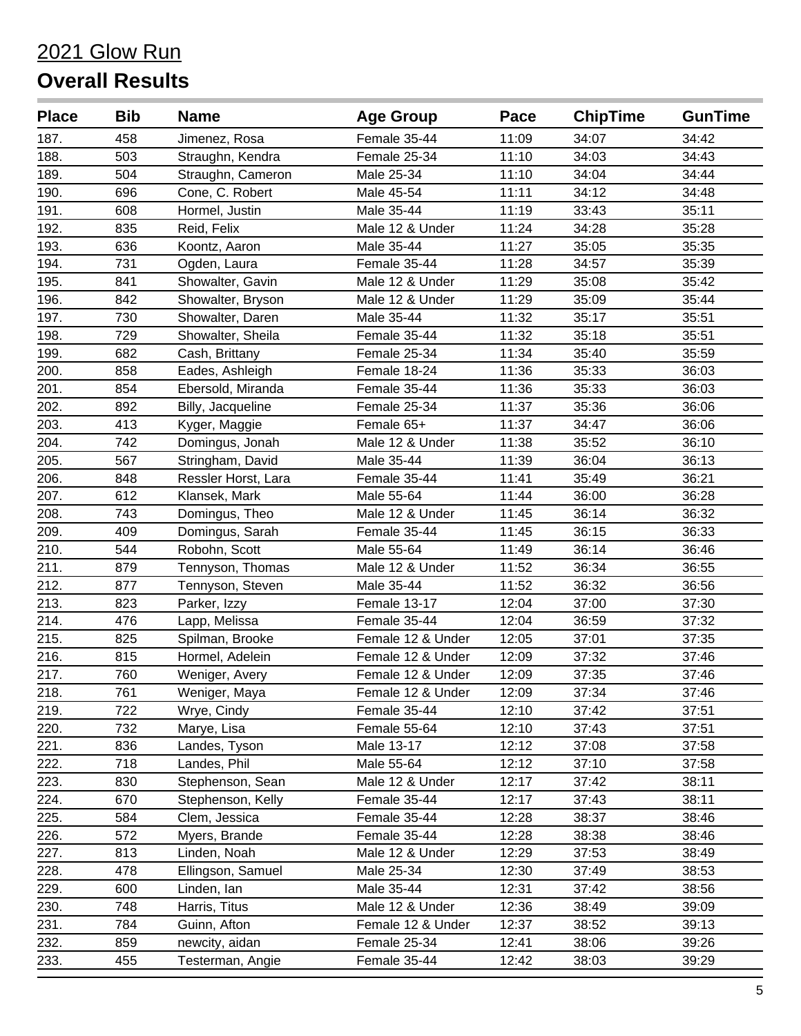| <b>Place</b> | <b>Bib</b> | <b>Name</b>         | <b>Age Group</b>  | Pace  | <b>ChipTime</b> | <b>GunTime</b> |
|--------------|------------|---------------------|-------------------|-------|-----------------|----------------|
| 187.         | 458        | Jimenez, Rosa       | Female 35-44      | 11:09 | 34:07           | 34:42          |
| 188.         | 503        | Straughn, Kendra    | Female 25-34      | 11:10 | 34:03           | 34:43          |
| 189.         | 504        | Straughn, Cameron   | Male 25-34        | 11:10 | 34:04           | 34:44          |
| 190.         | 696        | Cone, C. Robert     | Male 45-54        | 11:11 | 34:12           | 34:48          |
| 191.         | 608        | Hormel, Justin      | Male 35-44        | 11:19 | 33:43           | 35:11          |
| 192.         | 835        | Reid, Felix         | Male 12 & Under   | 11:24 | 34:28           | 35:28          |
| 193.         | 636        | Koontz, Aaron       | Male 35-44        | 11:27 | 35:05           | 35:35          |
| 194.         | 731        | Ogden, Laura        | Female 35-44      | 11:28 | 34:57           | 35:39          |
| 195.         | 841        | Showalter, Gavin    | Male 12 & Under   | 11:29 | 35:08           | 35:42          |
| 196.         | 842        | Showalter, Bryson   | Male 12 & Under   | 11:29 | 35:09           | 35:44          |
| 197.         | 730        | Showalter, Daren    | Male 35-44        | 11:32 | 35:17           | 35:51          |
| 198.         | 729        | Showalter, Sheila   | Female 35-44      | 11:32 | 35:18           | 35:51          |
| 199.         | 682        | Cash, Brittany      | Female 25-34      | 11:34 | 35:40           | 35:59          |
| 200.         | 858        | Eades, Ashleigh     | Female 18-24      | 11:36 | 35:33           | 36:03          |
| 201.         | 854        | Ebersold, Miranda   | Female 35-44      | 11:36 | 35:33           | 36:03          |
| 202.         | 892        | Billy, Jacqueline   | Female 25-34      | 11:37 | 35:36           | 36:06          |
| 203.         | 413        | Kyger, Maggie       | Female 65+        | 11:37 | 34:47           | 36:06          |
| 204.         | 742        | Domingus, Jonah     | Male 12 & Under   | 11:38 | 35:52           | 36:10          |
| 205.         | 567        | Stringham, David    | Male 35-44        | 11:39 | 36:04           | 36:13          |
| 206.         | 848        | Ressler Horst, Lara | Female 35-44      | 11:41 | 35:49           | 36:21          |
| 207.         | 612        | Klansek, Mark       | Male 55-64        | 11:44 | 36:00           | 36:28          |
| 208.         | 743        | Domingus, Theo      | Male 12 & Under   | 11:45 | 36:14           | 36:32          |
| 209.         | 409        | Domingus, Sarah     | Female 35-44      | 11:45 | 36:15           | 36:33          |
| 210.         | 544        | Robohn, Scott       | Male 55-64        | 11:49 | 36:14           | 36:46          |
| 211.         | 879        | Tennyson, Thomas    | Male 12 & Under   | 11:52 | 36:34           | 36:55          |
| 212.         | 877        | Tennyson, Steven    | Male 35-44        | 11:52 | 36:32           | 36:56          |
| 213.         | 823        | Parker, Izzy        | Female 13-17      | 12:04 | 37:00           | 37:30          |
| 214.         | 476        | Lapp, Melissa       | Female 35-44      | 12:04 | 36:59           | 37:32          |
| 215.         | 825        | Spilman, Brooke     | Female 12 & Under | 12:05 | 37:01           | 37:35          |
| 216.         | 815        | Hormel, Adelein     | Female 12 & Under | 12:09 | 37:32           | 37:46          |
| 217.         | 760        | Weniger, Avery      | Female 12 & Under | 12:09 | 37:35           | 37:46          |
| 218.         | 761        | Weniger, Maya       | Female 12 & Under | 12:09 | 37:34           | 37:46          |
| 219.         | 722        | Wrye, Cindy         | Female 35-44      | 12:10 | 37:42           | 37:51          |
| 220.         | 732        | Marye, Lisa         | Female 55-64      | 12:10 | 37:43           | 37:51          |
| 221.         | 836        | Landes, Tyson       | Male 13-17        | 12:12 | 37:08           | 37:58          |
| 222.         | 718        | Landes, Phil        | Male 55-64        | 12:12 | 37:10           | 37:58          |
| 223.         | 830        | Stephenson, Sean    | Male 12 & Under   | 12:17 | 37:42           | 38:11          |
| 224.         | 670        | Stephenson, Kelly   | Female 35-44      | 12:17 | 37:43           | 38:11          |
| 225.         | 584        | Clem, Jessica       | Female 35-44      | 12:28 | 38:37           | 38:46          |
| 226.         | 572        | Myers, Brande       | Female 35-44      | 12:28 | 38:38           | 38:46          |
| 227.         | 813        | Linden, Noah        | Male 12 & Under   | 12:29 | 37:53           | 38:49          |
| 228.         | 478        | Ellingson, Samuel   | Male 25-34        | 12:30 | 37:49           | 38:53          |
| 229.         | 600        | Linden, lan         | Male 35-44        | 12:31 | 37:42           | 38:56          |
| 230.         | 748        | Harris, Titus       | Male 12 & Under   | 12:36 | 38:49           | 39:09          |
| 231.         | 784        | Guinn, Afton        | Female 12 & Under | 12:37 | 38:52           | 39:13          |
| 232.         | 859        | newcity, aidan      | Female 25-34      | 12:41 | 38:06           | 39:26          |
| 233.         | 455        | Testerman, Angie    | Female 35-44      | 12:42 | 38:03           | 39:29          |
|              |            |                     |                   |       |                 |                |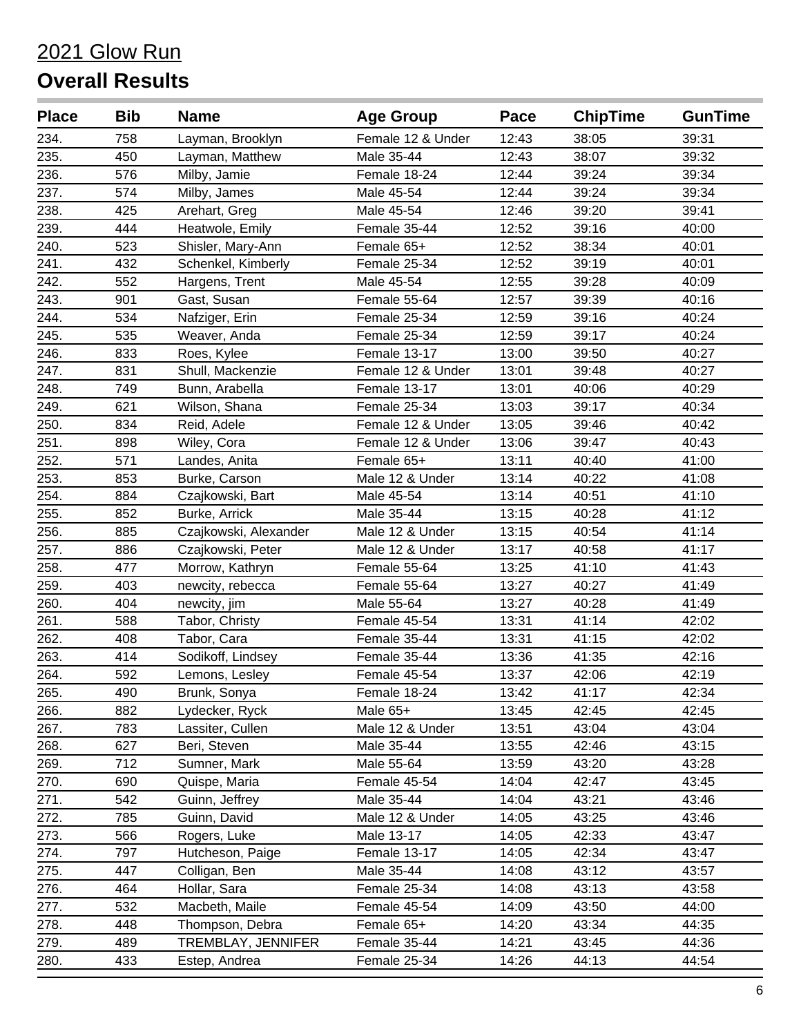| <b>Place</b> | <b>Bib</b> | <b>Name</b>           | <b>Age Group</b>  | Pace  | <b>ChipTime</b> | <b>GunTime</b> |
|--------------|------------|-----------------------|-------------------|-------|-----------------|----------------|
| 234.         | 758        | Layman, Brooklyn      | Female 12 & Under | 12:43 | 38:05           | 39:31          |
| 235.         | 450        | Layman, Matthew       | Male 35-44        | 12:43 | 38:07           | 39:32          |
| 236.         | 576        | Milby, Jamie          | Female 18-24      | 12:44 | 39:24           | 39:34          |
| 237.         | 574        | Milby, James          | Male 45-54        | 12:44 | 39:24           | 39:34          |
| 238.         | 425        | Arehart, Greg         | Male 45-54        | 12:46 | 39:20           | 39:41          |
| 239.         | 444        | Heatwole, Emily       | Female 35-44      | 12:52 | 39:16           | 40:00          |
| 240.         | 523        | Shisler, Mary-Ann     | Female 65+        | 12:52 | 38:34           | 40:01          |
| 241.         | 432        | Schenkel, Kimberly    | Female 25-34      | 12:52 | 39:19           | 40:01          |
| 242.         | 552        | Hargens, Trent        | Male 45-54        | 12:55 | 39:28           | 40:09          |
| 243.         | 901        | Gast, Susan           | Female 55-64      | 12:57 | 39:39           | 40:16          |
| 244.         | 534        | Nafziger, Erin        | Female 25-34      | 12:59 | 39:16           | 40:24          |
| 245.         | 535        | Weaver, Anda          | Female 25-34      | 12:59 | 39:17           | 40:24          |
| 246.         | 833        | Roes, Kylee           | Female 13-17      | 13:00 | 39:50           | 40:27          |
| 247.         | 831        | Shull, Mackenzie      | Female 12 & Under | 13:01 | 39:48           | 40:27          |
| 248.         | 749        | Bunn, Arabella        | Female 13-17      | 13:01 | 40:06           | 40:29          |
| 249.         | 621        | Wilson, Shana         | Female 25-34      | 13:03 | 39:17           | 40:34          |
| 250.         | 834        | Reid, Adele           | Female 12 & Under | 13:05 | 39:46           | 40:42          |
| 251.         | 898        | Wiley, Cora           | Female 12 & Under | 13:06 | 39:47           | 40:43          |
| 252.         | 571        | Landes, Anita         | Female 65+        | 13:11 | 40:40           | 41:00          |
| 253.         | 853        | Burke, Carson         | Male 12 & Under   | 13:14 | 40:22           | 41:08          |
| 254.         | 884        | Czajkowski, Bart      | Male 45-54        | 13:14 | 40:51           | 41:10          |
| 255.         | 852        | Burke, Arrick         | Male 35-44        | 13:15 | 40:28           | 41:12          |
| 256.         | 885        | Czajkowski, Alexander | Male 12 & Under   | 13:15 | 40:54           | 41:14          |
| 257.         | 886        | Czajkowski, Peter     | Male 12 & Under   | 13:17 | 40:58           | 41:17          |
| 258.         | 477        | Morrow, Kathryn       | Female 55-64      | 13:25 | 41:10           | 41:43          |
| 259.         | 403        | newcity, rebecca      | Female 55-64      | 13:27 | 40:27           | 41:49          |
| 260.         | 404        | newcity, jim          | Male 55-64        | 13:27 | 40:28           | 41:49          |
| 261.         | 588        | Tabor, Christy        | Female 45-54      | 13:31 | 41:14           | 42:02          |
| 262.         | 408        | Tabor, Cara           | Female 35-44      | 13:31 | 41:15           | 42:02          |
| 263.         | 414        | Sodikoff, Lindsey     | Female 35-44      | 13:36 | 41:35           | 42:16          |
| 264.         | 592        | Lemons, Lesley        | Female 45-54      | 13:37 | 42:06           | 42:19          |
| 265.         | 490        | Brunk, Sonya          | Female 18-24      | 13:42 | 41:17           | 42:34          |
| 266.         | 882        | Lydecker, Ryck        | Male 65+          | 13:45 | 42:45           | 42:45          |
| 267.         | 783        | Lassiter, Cullen      | Male 12 & Under   | 13:51 | 43:04           | 43:04          |
| 268.         | 627        | Beri, Steven          | Male 35-44        | 13:55 | 42:46           | 43:15          |
| 269.         | 712        | Sumner, Mark          | Male 55-64        | 13:59 | 43:20           | 43:28          |
| 270.         | 690        | Quispe, Maria         | Female 45-54      | 14:04 | 42:47           | 43:45          |
| 271.         | 542        | Guinn, Jeffrey        | Male 35-44        | 14:04 | 43:21           | 43:46          |
| 272.         | 785        | Guinn, David          | Male 12 & Under   | 14:05 | 43:25           | 43:46          |
| 273.         | 566        | Rogers, Luke          | Male 13-17        | 14:05 | 42:33           | 43:47          |
| 274.         | 797        | Hutcheson, Paige      | Female 13-17      | 14:05 | 42:34           | 43:47          |
| 275.         | 447        | Colligan, Ben         | Male 35-44        | 14:08 | 43:12           | 43:57          |
| 276.         | 464        | Hollar, Sara          | Female 25-34      | 14:08 | 43:13           | 43:58          |
| 277.         | 532        | Macbeth, Maile        | Female 45-54      | 14:09 | 43:50           | 44:00          |
| 278.         | 448        | Thompson, Debra       | Female 65+        | 14:20 | 43:34           | 44:35          |
| 279.         | 489        | TREMBLAY, JENNIFER    | Female 35-44      | 14:21 | 43:45           | 44:36          |
| 280.         | 433        | Estep, Andrea         | Female 25-34      | 14:26 | 44:13           | 44:54          |
|              |            |                       |                   |       |                 |                |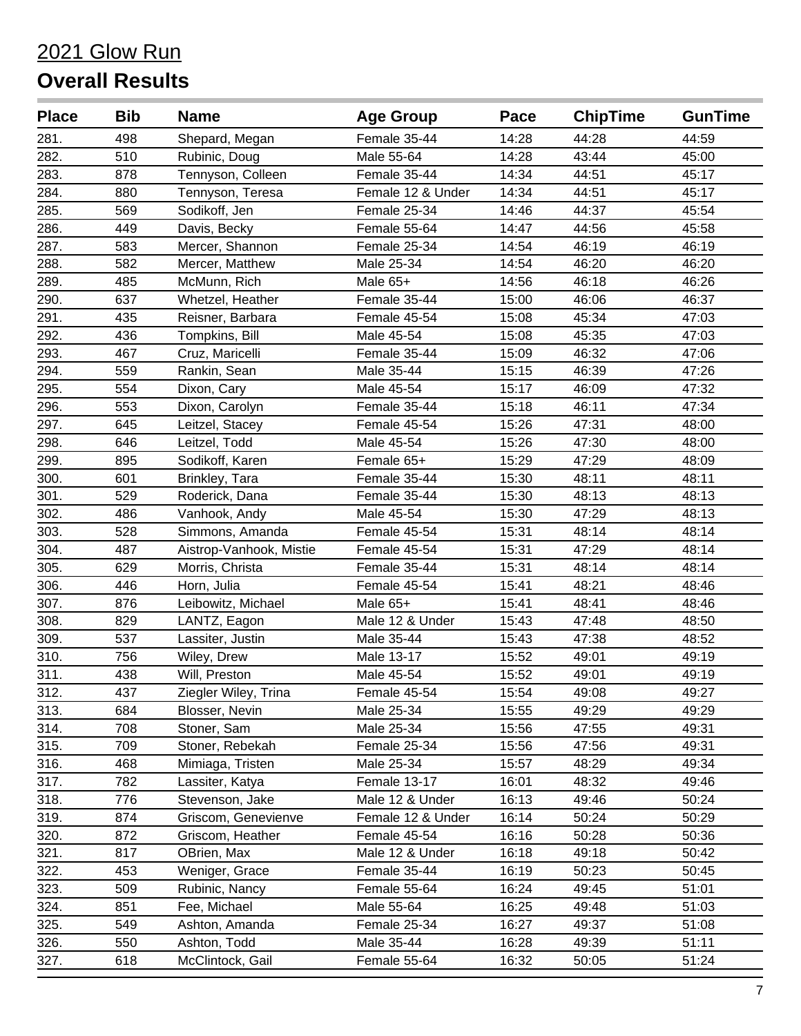| <b>Place</b> | <b>Bib</b> | <b>Name</b>             | <b>Age Group</b>  | Pace  | <b>ChipTime</b> | <b>GunTime</b> |
|--------------|------------|-------------------------|-------------------|-------|-----------------|----------------|
| 281.         | 498        | Shepard, Megan          | Female 35-44      | 14:28 | 44:28           | 44:59          |
| 282.         | 510        | Rubinic, Doug           | Male 55-64        | 14:28 | 43:44           | 45:00          |
| 283.         | 878        | Tennyson, Colleen       | Female 35-44      | 14:34 | 44:51           | 45:17          |
| 284.         | 880        | Tennyson, Teresa        | Female 12 & Under | 14:34 | 44:51           | 45:17          |
| 285.         | 569        | Sodikoff, Jen           | Female 25-34      | 14:46 | 44:37           | 45:54          |
| 286.         | 449        | Davis, Becky            | Female 55-64      | 14:47 | 44:56           | 45:58          |
| 287.         | 583        | Mercer, Shannon         | Female 25-34      | 14:54 | 46:19           | 46:19          |
| 288.         | 582        | Mercer, Matthew         | Male 25-34        | 14:54 | 46:20           | 46:20          |
| 289.         | 485        | McMunn, Rich            | Male 65+          | 14:56 | 46:18           | 46:26          |
| 290.         | 637        | Whetzel, Heather        | Female 35-44      | 15:00 | 46:06           | 46:37          |
| 291.         | 435        | Reisner, Barbara        | Female 45-54      | 15:08 | 45:34           | 47:03          |
| 292.         | 436        | Tompkins, Bill          | Male 45-54        | 15:08 | 45:35           | 47:03          |
| 293.         | 467        | Cruz, Maricelli         | Female 35-44      | 15:09 | 46:32           | 47:06          |
| 294.         | 559        | Rankin, Sean            | Male 35-44        | 15:15 | 46:39           | 47:26          |
| 295.         | 554        | Dixon, Cary             | Male 45-54        | 15:17 | 46:09           | 47:32          |
| 296.         | 553        | Dixon, Carolyn          | Female 35-44      | 15:18 | 46:11           | 47:34          |
| 297.         | 645        | Leitzel, Stacey         | Female 45-54      | 15:26 | 47:31           | 48:00          |
| 298.         | 646        | Leitzel, Todd           | Male 45-54        | 15:26 | 47:30           | 48:00          |
| 299.         | 895        | Sodikoff, Karen         | Female 65+        | 15:29 | 47:29           | 48:09          |
| 300.         | 601        | Brinkley, Tara          | Female 35-44      | 15:30 | 48:11           | 48:11          |
| 301.         | 529        | Roderick, Dana          | Female 35-44      | 15:30 | 48:13           | 48:13          |
| 302.         | 486        | Vanhook, Andy           | Male 45-54        | 15:30 | 47:29           | 48:13          |
| 303.         | 528        | Simmons, Amanda         | Female 45-54      | 15:31 | 48:14           | 48:14          |
| 304.         | 487        | Aistrop-Vanhook, Mistie | Female 45-54      | 15:31 | 47:29           | 48:14          |
| 305.         | 629        | Morris, Christa         | Female 35-44      | 15:31 | 48:14           | 48:14          |
| 306.         | 446        | Horn, Julia             | Female 45-54      | 15:41 | 48:21           | 48:46          |
| 307.         | 876        | Leibowitz, Michael      | Male 65+          | 15:41 | 48:41           | 48:46          |
| 308.         | 829        | LANTZ, Eagon            | Male 12 & Under   | 15:43 | 47:48           | 48:50          |
| 309.         | 537        | Lassiter, Justin        | Male 35-44        | 15:43 | 47:38           | 48:52          |
| 310.         | 756        | Wiley, Drew             | Male 13-17        | 15:52 | 49:01           | 49:19          |
| 311.         | 438        | Will, Preston           | Male 45-54        | 15:52 | 49:01           | 49:19          |
| 312.         | 437        | Ziegler Wiley, Trina    | Female 45-54      | 15:54 | 49:08           | 49:27          |
| 313.         | 684        | Blosser, Nevin          | Male 25-34        | 15:55 | 49:29           | 49:29          |
| 314.         | 708        | Stoner, Sam             | Male 25-34        | 15:56 | 47:55           | 49:31          |
| 315.         | 709        | Stoner, Rebekah         | Female 25-34      | 15:56 | 47:56           | 49:31          |
| 316.         | 468        | Mimiaga, Tristen        | Male 25-34        | 15:57 | 48:29           | 49:34          |
| 317.         | 782        | Lassiter, Katya         | Female 13-17      | 16:01 | 48:32           | 49:46          |
| 318.         | 776        | Stevenson, Jake         | Male 12 & Under   | 16:13 | 49:46           | 50:24          |
| 319.         | 874        | Griscom, Genevienve     | Female 12 & Under | 16:14 | 50:24           | 50:29          |
| 320.         | 872        | Griscom, Heather        | Female 45-54      | 16:16 | 50:28           | 50:36          |
| 321.         | 817        | OBrien, Max             | Male 12 & Under   | 16:18 | 49:18           | 50:42          |
| 322.         | 453        | Weniger, Grace          | Female 35-44      | 16:19 | 50:23           | 50:45          |
| 323.         | 509        | Rubinic, Nancy          | Female 55-64      | 16:24 | 49:45           | 51:01          |
| 324.         | 851        | Fee, Michael            | Male 55-64        | 16:25 | 49:48           | 51:03          |
| 325.         | 549        | Ashton, Amanda          | Female 25-34      | 16:27 | 49:37           | 51:08          |
| 326.         | 550        | Ashton, Todd            | Male 35-44        | 16:28 | 49:39           | 51:11          |
| 327.         | 618        | McClintock, Gail        | Female 55-64      | 16:32 | 50:05           | 51:24          |
|              |            |                         |                   |       |                 |                |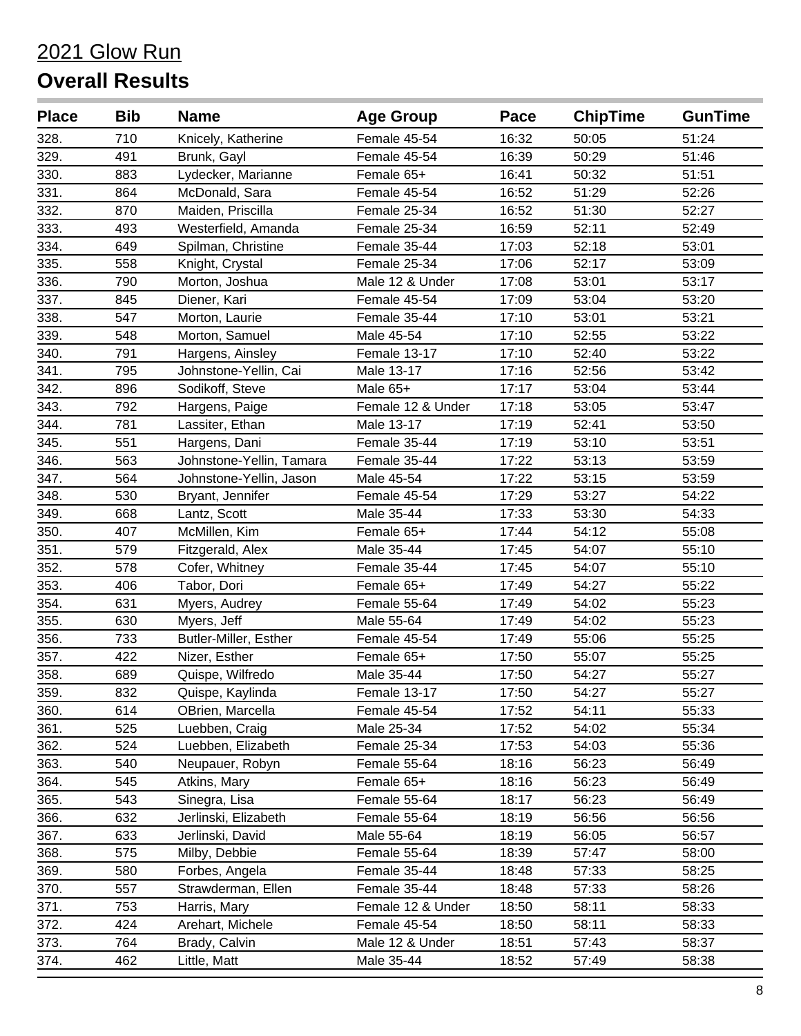| <b>Place</b> | <b>Bib</b> | <b>Name</b>              | <b>Age Group</b>  | Pace  | <b>ChipTime</b> | <b>GunTime</b> |
|--------------|------------|--------------------------|-------------------|-------|-----------------|----------------|
| 328.         | 710        | Knicely, Katherine       | Female 45-54      | 16:32 | 50:05           | 51:24          |
| 329.         | 491        | Brunk, Gayl              | Female 45-54      | 16:39 | 50:29           | 51:46          |
| 330.         | 883        | Lydecker, Marianne       | Female 65+        | 16:41 | 50:32           | 51:51          |
| 331.         | 864        | McDonald, Sara           | Female 45-54      | 16:52 | 51:29           | 52:26          |
| 332.         | 870        | Maiden, Priscilla        | Female 25-34      | 16:52 | 51:30           | 52:27          |
| 333.         | 493        | Westerfield, Amanda      | Female 25-34      | 16:59 | 52:11           | 52:49          |
| 334.         | 649        | Spilman, Christine       | Female 35-44      | 17:03 | 52:18           | 53:01          |
| 335.         | 558        | Knight, Crystal          | Female 25-34      | 17:06 | 52:17           | 53:09          |
| 336.         | 790        | Morton, Joshua           | Male 12 & Under   | 17:08 | 53:01           | 53:17          |
| 337.         | 845        | Diener, Kari             | Female 45-54      | 17:09 | 53:04           | 53:20          |
| 338.         | 547        | Morton, Laurie           | Female 35-44      | 17:10 | 53:01           | 53:21          |
| 339.         | 548        | Morton, Samuel           | Male 45-54        | 17:10 | 52:55           | 53:22          |
| 340.         | 791        | Hargens, Ainsley         | Female 13-17      | 17:10 | 52:40           | 53:22          |
| 341.         | 795        | Johnstone-Yellin, Cai    | Male 13-17        | 17:16 | 52:56           | 53:42          |
| 342.         | 896        | Sodikoff, Steve          | Male 65+          | 17:17 | 53:04           | 53:44          |
| 343.         | 792        | Hargens, Paige           | Female 12 & Under | 17:18 | 53:05           | 53:47          |
| 344.         | 781        | Lassiter, Ethan          | Male 13-17        | 17:19 | 52:41           | 53:50          |
| 345.         | 551        | Hargens, Dani            | Female 35-44      | 17:19 | 53:10           | 53:51          |
| 346.         | 563        | Johnstone-Yellin, Tamara | Female 35-44      | 17:22 | 53:13           | 53:59          |
| 347.         | 564        | Johnstone-Yellin, Jason  | Male 45-54        | 17:22 | 53:15           | 53:59          |
| 348.         | 530        | Bryant, Jennifer         | Female 45-54      | 17:29 | 53:27           | 54:22          |
| 349.         | 668        | Lantz, Scott             | Male 35-44        | 17:33 | 53:30           | 54:33          |
| 350.         | 407        | McMillen, Kim            | Female 65+        | 17:44 | 54:12           | 55:08          |
| 351.         | 579        | Fitzgerald, Alex         | Male 35-44        | 17:45 | 54:07           | 55:10          |
| 352.         | 578        | Cofer, Whitney           | Female 35-44      | 17:45 | 54:07           | 55:10          |
| 353.         | 406        | Tabor, Dori              | Female 65+        | 17:49 | 54:27           | 55:22          |
| 354.         | 631        | Myers, Audrey            | Female 55-64      | 17:49 | 54:02           | 55:23          |
| 355.         | 630        | Myers, Jeff              | Male 55-64        | 17:49 | 54:02           | 55:23          |
| 356.         | 733        | Butler-Miller, Esther    | Female 45-54      | 17:49 | 55:06           | 55:25          |
| 357.         | 422        | Nizer, Esther            | Female 65+        | 17:50 | 55:07           | 55:25          |
| 358.         | 689        | Quispe, Wilfredo         | Male 35-44        | 17:50 | 54:27           | 55:27          |
| 359.         | 832        | Quispe, Kaylinda         | Female 13-17      | 17:50 | 54:27           | 55:27          |
| 360.         | 614        | OBrien, Marcella         | Female 45-54      | 17:52 | 54:11           | 55:33          |
| 361.         | 525        | Luebben, Craig           | Male 25-34        | 17:52 | 54:02           | 55:34          |
| 362.         | 524        | Luebben, Elizabeth       | Female 25-34      | 17:53 | 54:03           | 55:36          |
| 363.         | 540        | Neupauer, Robyn          | Female 55-64      | 18:16 | 56:23           | 56:49          |
| 364.         | 545        | Atkins, Mary             | Female 65+        | 18:16 | 56:23           | 56:49          |
| 365.         | 543        | Sinegra, Lisa            | Female 55-64      | 18:17 | 56:23           | 56:49          |
| 366.         | 632        | Jerlinski, Elizabeth     | Female 55-64      | 18:19 | 56:56           | 56:56          |
| 367.         | 633        | Jerlinski, David         | Male 55-64        | 18:19 | 56:05           | 56:57          |
| 368.         | 575        | Milby, Debbie            | Female 55-64      | 18:39 | 57:47           | 58:00          |
| 369.         | 580        | Forbes, Angela           | Female 35-44      | 18:48 | 57:33           | 58:25          |
| 370.         | 557        | Strawderman, Ellen       | Female 35-44      | 18:48 | 57:33           | 58:26          |
| 371.         | 753        | Harris, Mary             | Female 12 & Under | 18:50 | 58:11           | 58:33          |
| 372.         | 424        | Arehart, Michele         | Female 45-54      | 18:50 | 58:11           | 58:33          |
| 373.         | 764        | Brady, Calvin            | Male 12 & Under   | 18:51 | 57:43           | 58:37          |
| 374.         | 462        | Little, Matt             | Male 35-44        | 18:52 | 57:49           | 58:38          |
|              |            |                          |                   |       |                 |                |